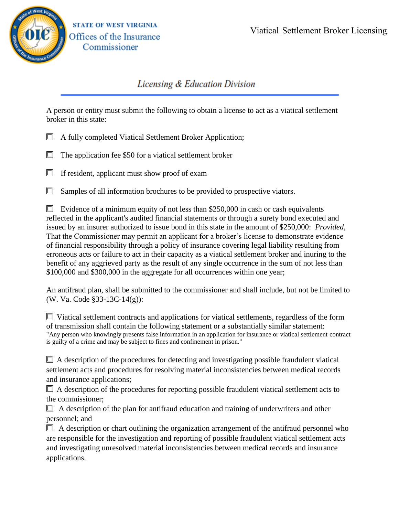

## Licensing & Education Division

A person or entity must submit the following to obtain a license to act as a viatical settlement broker in this state:

- **E** A fully completed Viatical Settlement Broker Application;
- Г The application fee \$50 for a viatical settlement broker
- $\Box$  If resident, applicant must show proof of exam

 $\Box$  Samples of all information brochures to be provided to prospective viators.

E Evidence of a minimum equity of not less than \$250,000 in cash or cash equivalents reflected in the applicant's audited financial statements or through a surety bond executed and issued by an insurer authorized to issue bond in this state in the amount of \$250,000: *Provided*, That the Commissioner may permit an applicant for a broker's license to demonstrate evidence of financial responsibility through a policy of insurance covering legal liability resulting from erroneous acts or failure to act in their capacity as a viatical settlement broker and inuring to the benefit of any aggrieved party as the result of any single occurrence in the sum of not less than \$100,000 and \$300,000 in the aggregate for all occurrences within one year;

An antifraud plan, shall be submitted to the commissioner and shall include, but not be limited to (W. Va. Code §33-13C-14(g)):

 $\Box$  Viatical settlement contracts and applications for viatical settlements, regardless of the form of transmission shall contain the following statement or a substantially similar statement: "Any person who knowingly presents false information in an application for insurance or viatical settlement contract is guilty of a crime and may be subject to fines and confinement in prison."

 $\Box$  A description of the procedures for detecting and investigating possible fraudulent viatical settlement acts and procedures for resolving material inconsistencies between medical records and insurance applications;

 $\Box$  A description of the procedures for reporting possible fraudulent viatical settlement acts to the commissioner;

 $\Box$  A description of the plan for antifraud education and training of underwriters and other personnel; and

 $\Box$  A description or chart outlining the organization arrangement of the antifraud personnel who are responsible for the investigation and reporting of possible fraudulent viatical settlement acts and investigating unresolved material inconsistencies between medical records and insurance applications.